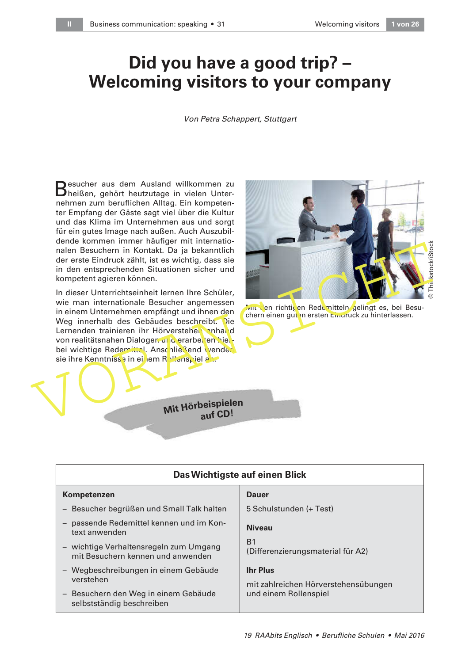# **Did you have a good trip? – Welcoming visitors to your company**

## Von Petra Schappert, Stuttgart

Besucher aus dem Ausland willkommen zu<br>Bheißen, gehört heutzutage in vielen Unterheißen, gehört heutzutage in vielen Unternehmen zum beruflichen Alltag. Ein kompetenter Empfang der Gäste sagt viel über die Kultur und das Klima im Unternehmen aus und sorgt für ein gutes Image nach außen. Auch Auszubildende kommen immer häufiger mit internationalen Besuchern in Kontakt. Da ja bekanntlich der erste Eindruck zählt, ist es wichtig, dass sie in den entsprechenden Situationen sicher und kompetent agieren können.

en der erste Eindruck zählt, ist es wichtig, das sie<br>
in den entsprechenden Situationen sicher und<br>
ter erste Eindruck zählt, ist es wichtig, das sie<br>
in dieser Unterrichtseinheit lernen Ihre Schüler,<br>
wie man internationa In dieser Unterrichtseinheit lernen Ihre Schüler, wie man internationale Besucher angemessen in einem Unternehmen empfängt und ihnen den Weg innerhalb des Gebäudes beschreibt. Die Lernenden trainieren ihr Hörverstehen anhand von realitätsnahen Dialogen und erarbeiten hierbei wichtige Redemittel. Anschließend venden sie ihre Kenntnisse in einem Rollenspiel an.



Mit den richticen Redemitteln gelingt es, bei Besuchern einen guten ersten Eindruck zu hinterlassen.



| Das Wichtigste auf einen Blick                                                      |                                                     |  |
|-------------------------------------------------------------------------------------|-----------------------------------------------------|--|
| Kompetenzen                                                                         | <b>Dauer</b>                                        |  |
| - Besucher begrüßen und Small Talk halten                                           | 5 Schulstunden (+ Test)                             |  |
| passende Redemittel kennen und im Kon-<br>$\overline{\phantom{m}}$<br>text anwenden | <b>Niveau</b>                                       |  |
| - wichtige Verhaltensregeln zum Umgang<br>mit Besuchern kennen und anwenden         | B <sub>1</sub><br>(Differenzierungsmaterial für A2) |  |
| - Wegbeschreibungen in einem Gebäude                                                | <b>Ihr Plus</b>                                     |  |
| verstehen                                                                           | mit zahlreichen Hörverstehensübungen                |  |
| - Besuchern den Weg in einem Gebäude<br>selbstständig beschreiben                   | und einem Rollenspiel                               |  |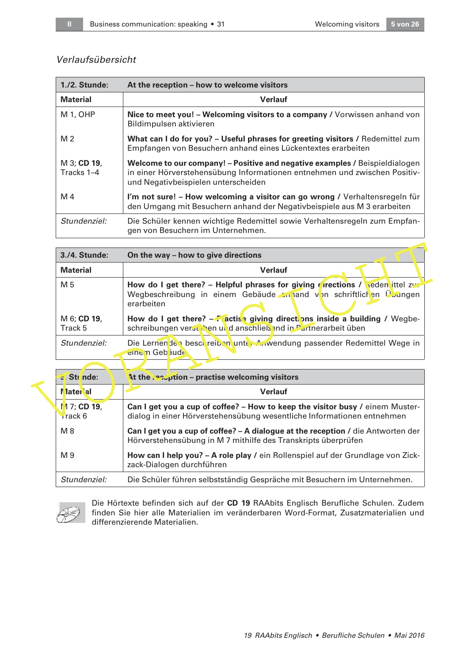## Verlaufsübersicht

| 1./2. Stunde:             | At the reception - how to welcome visitors                                                                                                                                                      |  |
|---------------------------|-------------------------------------------------------------------------------------------------------------------------------------------------------------------------------------------------|--|
| <b>Material</b>           | <b>Verlauf</b>                                                                                                                                                                                  |  |
| M <sub>1</sub> , OHP      | Nice to meet you! - Welcoming visitors to a company / Vorwissen anhand von<br>Bildimpulsen aktivieren                                                                                           |  |
| M <sub>2</sub>            | What can I do for you? - Useful phrases for greeting visitors / Redemittel zum<br>Empfangen von Besuchern anhand eines Lückentextes erarbeiten                                                  |  |
| M 3; CD 19,<br>Tracks 1-4 | Welcome to our company! – Positive and negative examples / Beispieldialogen<br>in einer Hörverstehensübung Informationen entnehmen und zwischen Positiv-<br>und Negativbeispielen unterscheiden |  |
| M 4                       | I'm not sure! - How welcoming a visitor can go wrong / Verhaltensregeln für<br>den Umgang mit Besuchern anhand der Negativbeispiele aus M 3 erarbeiten                                          |  |
| Stundenziel:              | Die Schüler kennen wichtige Redemittel sowie Verhaltensregeln zum Empfan-<br>gen von Besuchern im Unternehmen.                                                                                  |  |

| 3./4. Stunde:                       | On the way – how to give directions                                                                                                                             |  |
|-------------------------------------|-----------------------------------------------------------------------------------------------------------------------------------------------------------------|--|
| <b>Material</b>                     | <b>Verlauf</b>                                                                                                                                                  |  |
| M 5                                 | How do I get there? - Helpful phrases for giving directions / redentitel zur<br>Wegbeschreibung in einem Gebäude annand von schriftlichen Übungen<br>erarbeiten |  |
| M 6; CD 19,<br>Track 5              | How do I get there? $-\sqrt{2}$ actist giving directions inside a building / Wegbe-<br>schreibungen verstehen und anschließ and in Partnerarbeit üben           |  |
| Stundenziel:                        | Die Lernen den beschreiben unter Autwendung passender Redemittel Wege in<br>eine m Geb jude                                                                     |  |
|                                     |                                                                                                                                                                 |  |
| J Stunde:                           | At the reseption – practise welcoming visitors                                                                                                                  |  |
| Mater <sub>ial</sub>                | <b>Verlauf</b>                                                                                                                                                  |  |
| $N17;$ CD 19,<br>$rac{1}{2}$ rack 6 | Can I get you a cup of coffee? $-$ How to keep the visitor busy / einem Muster-<br>dialog in einer Hörverstehensübung wesentliche Informationen entnehmen       |  |

| J Stinde:                    | At the reseption - practise welcoming visitors                                                                                                          |  |  |
|------------------------------|---------------------------------------------------------------------------------------------------------------------------------------------------------|--|--|
| <b>Material</b>              | <b>Verlauf</b>                                                                                                                                          |  |  |
| $M$ 7; CD 19,<br>$rac{k}{2}$ | Can I get you a cup of coffee? – How to keep the visitor busy / einem Muster-<br>dialog in einer Hörverstehensübung wesentliche Informationen entnehmen |  |  |
| M8                           | Can I get you a cup of coffee? - A dialogue at the reception / die Antworten der<br>Hörverstehensübung in M 7 mithilfe des Transkripts überprüfen       |  |  |
| M <sub>9</sub>               | How can I help you? - A role play / ein Rollenspiel auf der Grundlage von Zick-<br>zack-Dialogen durchführen                                            |  |  |
| Stundenziel:                 | Die Schüler führen selbstständig Gespräche mit Besuchern im Unternehmen.                                                                                |  |  |



Die Hörtexte befinden sich auf der **CD 19** RAAbits Englisch Berufliche Schulen. Zudem finden Sie hier alle Materialien im veränderbaren Word-Format, Zusatzmaterialien und differenzierende Materialien.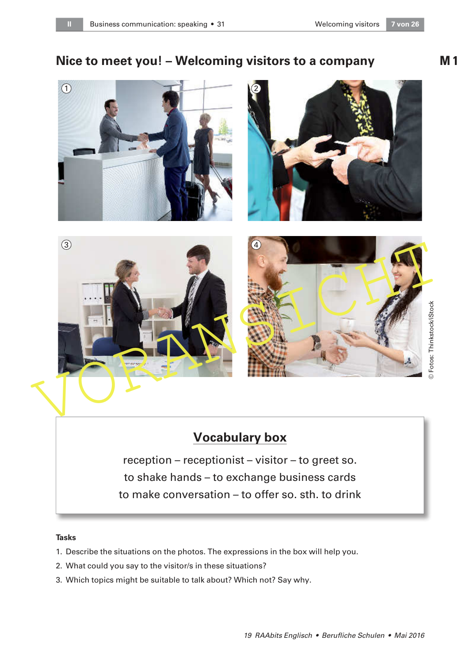# **Nice to meet you! – Welcoming visitors to a company**



# **Vocabulary box**

reception – receptionist – visitor – to greet so. to shake hands – to exchange business cards to make conversation – to offer so. sth. to drink

### **Tasks**

- 1. Describe the situations on the photos. The expressions in the box will help you.
- 2. What could you say to the visitor/s in these situations?
- 3. Which topics might be suitable to talk about? Which not? Say why.

**M 1**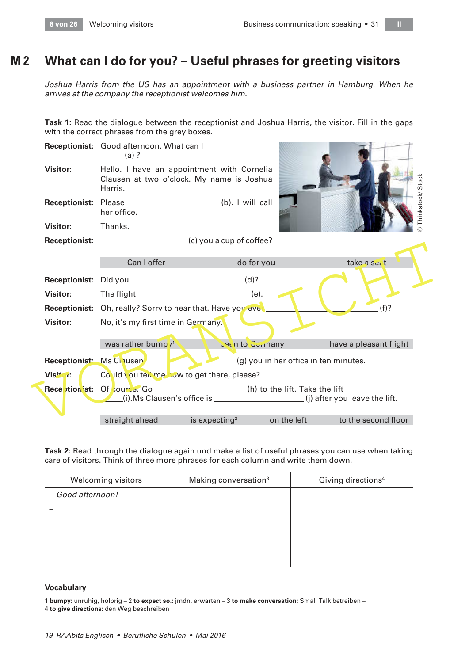#### **What can I do for you? – Useful phrases for greeting visitors M 2**

Joshua Harris from the US has an appointment with a business partner in Hamburg. When he arrives at the company the receptionist welcomes him.

**Task 1:** Read the dialogue between the receptionist and Joshua Harris, the visitor. Fill in the gaps with the correct phrases from the grey boxes.

|                 | <b>Receptionist:</b> Good afternoon. What can I<br>$(a)$ ?                                         |                        |                                         |                        |
|-----------------|----------------------------------------------------------------------------------------------------|------------------------|-----------------------------------------|------------------------|
| <b>Visitor:</b> | Hello. I have an appointment with Cornelia<br>Clausen at two o'clock. My name is Joshua<br>Harris. |                        |                                         |                        |
|                 | Receptionist: Please ____________________(b). I will call<br>her office.                           |                        |                                         | Thinkstock/iStock      |
| <b>Visitor:</b> | Thanks.                                                                                            |                        |                                         |                        |
|                 |                                                                                                    |                        |                                         |                        |
|                 |                                                                                                    |                        |                                         |                        |
|                 | Can I offer                                                                                        | do for you             |                                         | take a sect            |
|                 | Receptionist: Did you __________________________________(d)?                                       |                        |                                         |                        |
| <b>Visitor:</b> |                                                                                                    |                        |                                         |                        |
|                 | Receptionist: Oh, really? Sorry to hear that. Have you eve.                                        |                        |                                         | (f)?                   |
| <b>Visitor:</b> | No, it's my first time in Germany.                                                                 |                        |                                         |                        |
|                 | was rather bump $\ell^1$                                                                           | <b>Deen to Gormany</b> |                                         | have a pleasant flight |
|                 | Receptionist: Ms Chusen                                                                            |                        | $(g)$ you in her office in ten minutes. |                        |
| Visitor:        | Could you ten me low to get there, please?                                                         |                        |                                         |                        |
|                 | Reception ist: Of course. Go ___________________(h) to the lift. Take the lift ________            |                        |                                         |                        |
|                 |                                                                                                    |                        |                                         |                        |
|                 | straight ahead                                                                                     | is expecting $2$       | on the left                             | to the second floor    |

**Task 2:** Read through the dialogue again und make a list of useful phrases you can use when taking care of visitors. Think of three more phrases for each column and write them down.

| Welcoming visitors | Making conversation <sup>3</sup> | Giving directions <sup>4</sup> |
|--------------------|----------------------------------|--------------------------------|
| - Good afternoon!  |                                  |                                |
|                    |                                  |                                |
|                    |                                  |                                |
|                    |                                  |                                |
|                    |                                  |                                |
|                    |                                  |                                |

### **Vocabulary**

1 **bumpy:** unruhig, holprig – 2 **to expect so.:** jmdn. erwarten – 3 **to make conversation:** Small Talk betreiben – 4 **to give directions:** den Weg beschreiben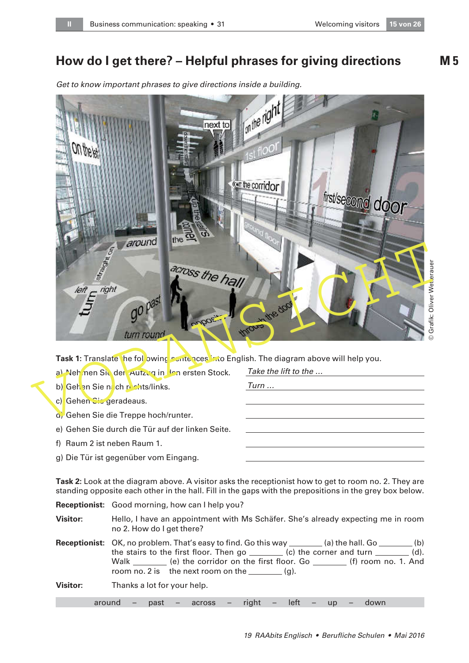# **How do I get there? – Helpful phrases for giving directions**

Get to know important phrases to give directions inside a building. in the right next to down the corridor first/second door the

**M 5**

| divunu<br>straight on<br>across the hall<br>$\epsilon$ right<br>left<br>$70 p$ as<br><b>CIVDOENS</b><br>turn round | Grafik: Oliver Wet eraue<br>tredoo<br>m |
|--------------------------------------------------------------------------------------------------------------------|-----------------------------------------|
| <b>Task 1:</b> Translate the following <b>Contences</b> into English. The diagram above will help you.             |                                         |
| a) Neh nen Sie der Aufzug in den ersten Stock.                                                                     | Take the lift to the                    |
| b) Gehen Sie nach rechts/links.                                                                                    | $Turn \dots$                            |
| c) Gehen Sic geradeaus.                                                                                            |                                         |
| a, Gehen Sie die Treppe hoch/runter.                                                                               |                                         |
| e) Gehen Sie durch die Tür auf der linken Seite.                                                                   |                                         |
| Raum 2 ist neben Raum 1.<br>f)                                                                                     |                                         |
| g) Die Tür ist gegenüber vom Eingang.                                                                              |                                         |
|                                                                                                                    |                                         |

**Task 2:** Look at the diagram above. A visitor asks the receptionist how to get to room no. 2. They are standing opposite each other in the hall. Fill in the gaps with the prepositions in the grey box below.

**Receptionist:** Good morning, how can I help you?

**Visitor:** Hello, I have an appointment with Ms Schäfer. She's already expecting me in room no 2. How do I get there?

- **Receptionist:** OK, no problem. That's easy to find. Go this way \_\_\_\_\_\_(a) the hall. Go \_\_\_\_\_\_(b) the stairs to the first floor. Then go  $\frac{1}{\sqrt{c}}$  (c) the corner and turn  $\frac{1}{\sqrt{c}}$  (d). Walk \_\_\_\_\_\_\_ (e) the corridor on the first floor. Go \_\_\_\_\_\_\_ (f) room no. 1. And room no. 2 is the next room on the  $\_\_\_\_$ (g).
- **Visitor:** Thanks a lot for your help.

around – past – across – right – left – up – down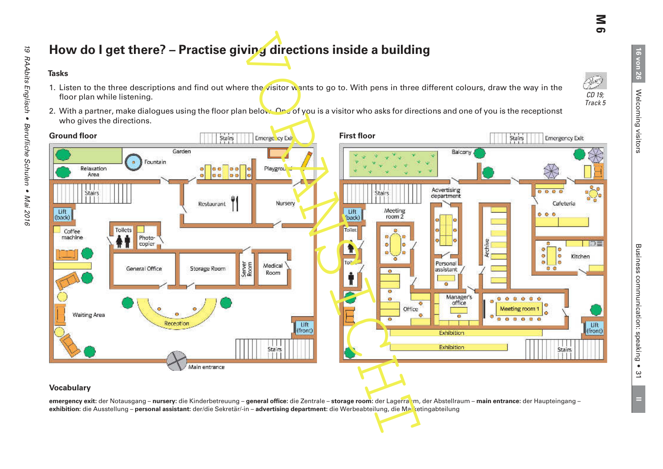CD 19; Track 5

محملا

- 
- 



## **Vocabulary**

**emergency exit:** der Notausgang – **nursery:** die Kinderbetreuung – **general office:** die Zentrale – **storage room:** der Lagerraum, der Abstellraum – **main entrance:** der Haupteingang – **exhibition:** die Ausstellung – **personal assistant:** der/die Sekretär/-in – **advertising department:** die Werbeabteilung, die Marketingabteilung

16 von 26 Welcoming visitors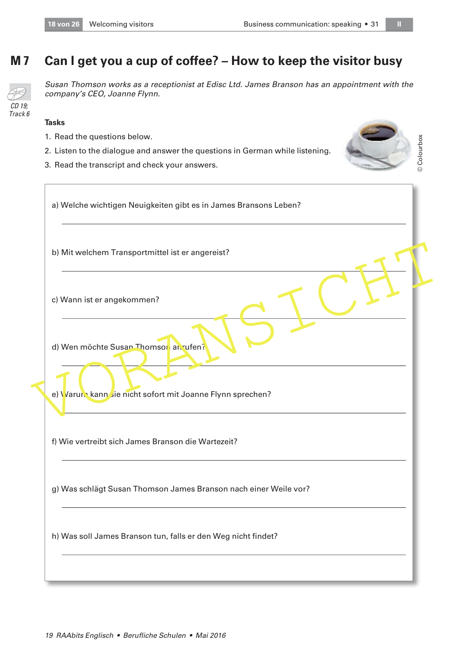#### **Can I get you a cup of coffee? – How to keep the visitor busy M 7**

Susan Thomson works as a receptionist at Edisc Ltd. James Branson has an appointment with the company's CEO, Joanne Flynn.

## **Tasks**

 $CD$  19 $\cdot$ Track 6

- 1. Read the questions below.
- 2. Listen to the dialogue and answer the questions in German while listening.
- 3. Read the transcript and check your answers.



Colourbox